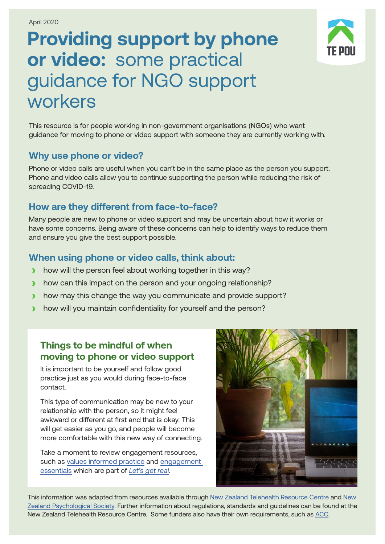# **Providing support by phone or video:** some practical guidance for NGO support workers

This resource is for people working in non-government organisations (NGOs) who want guidance for moving to phone or video support with someone they are currently working with.

#### **Why use phone or video?**

Phone or video calls are useful when you can't be in the same place as the person you support. Phone and video calls allow you to continue supporting the person while reducing the risk of spreading COVID-19.

# **How are they different from face-to-face?**

Many people are new to phone or video support and may be uncertain about how it works or have some concerns. Being aware of these concerns can help to identify ways to reduce them and ensure you give the best support possible.

# **When using phone or video calls, think about:**

- **›** how will the person feel about working together in this way?
- **I** how can this impact on the person and your ongoing relationship?
- **›** how may this change the way you communicate and provide support?
- **›** how will you maintain confidentiality for yourself and the person?

#### **Things to be mindful of when moving to phone or video support**

It is important to be yourself and follow good practice just as you would during face-to-face contact.

This type of communication may be new to your relationship with the person, so it might feel awkward or different at first and that is okay. This will get easier as you go, and people will become more comfortable with this new way of connecting.

Take a moment to review engagement resources, such as [values informed practice](https://www.tepou.co.nz/uploads/files/resource-assets/Values%20_informed_pratice_web.pdf) and [engagement](https://www.tepou.co.nz/uploads/files/resource-assets/TP%20180717%20LGR%20Engagement%20Essentials_v%C6%92%20WEB.pdf)  [essentials](https://www.tepou.co.nz/uploads/files/resource-assets/TP%20180717%20LGR%20Engagement%20Essentials_v%C6%92%20WEB.pdf) which are part of *[Let's get real](https://www.tepou.co.nz/initiatives/lets-get-real/107)*.



This information was adapted from resources available through [New Zealand Telehealth Resource Centre](https://www.telehealth.org.nz/) and New [Zealand Psychological Society.](https://www.psychology.org.nz/community-resources/covid-19-resources/) Further information about regulations, standards and guidelines can be found at the [New Zealand Telehealth Resource Centre.](https://www.telehealth.org.nz/) Some funders also have their own requirements, such as [ACC.](https://www.acc.co.nz/covid-19/providers/telehealth-during-the-covid-19-response/?smooth-scroll=content-after-navs)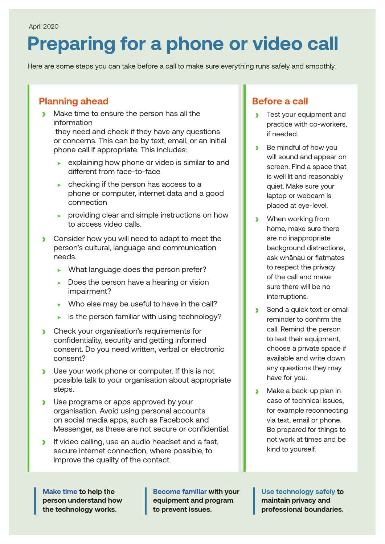# **Preparing for a phone or video call**

Here are some steps you can take before a call to make sure everything runs safely and smoothly.

# **Planning ahead**

**›** Make time to ensure the person has all the information

 they need and check if they have any questions or concerns. This can be by text, email, or an initial phone call if appropriate. This includes:

- $\triangleright$  explaining how phone or video is similar to and different from face-to-face
- $\triangleright$  checking if the person has access to a phone or computer, internet data and a good connection
- $\triangleright$  providing clear and simple instructions on how to access video calls.
- **›** Consider how you will need to adapt to meet the person's cultural, language and communication needs.
	- $\blacktriangleright$  What language does the person prefer?
	- $\triangleright$  Does the person have a hearing or vision impairment?
	- $\triangleright$  Who else may be useful to have in the call?
	- $\blacktriangleright$  Is the person familiar with using technology?
- **›** Check your organisation's requirements for confidentiality, security and getting informed consent. Do you need written, verbal or electronic consent?
- **›** Use your work phone or computer. If this is not possible talk to your organisation about appropriate steps.
- **›** Use programs or apps approved by your organisation. Avoid using personal accounts on social media apps, such as Facebook and Messenger, as these are not secure or confidential.
- **›** If video calling, use an audio headset and a fast, secure internet connection, where possible, to improve the quality of the contact.

**Make time to help the person understand how the technology works.**

**Become familiar with your equipment and program to prevent issues.**

#### **Before a call**

- **›** Test your equipment and practice with co-workers, if needed.
- **›** Be mindful of how you will sound and appear on screen. Find a space that is well lit and reasonably quiet. Make sure your laptop or webcam is placed at eye-level.
- **›** When working from home, make sure there are no inappropriate background distractions, ask whānau or flatmates to respect the privacy of the call and make sure there will be no interruptions.
- **›** Send a quick text or email reminder to confirm the call. Remind the person to test their equipment, choose a private space if available and write down any questions they may have for you.
- **›** Make a back-up plan in case of technical issues, for example reconnecting via text, email or phone. Be prepared for things to not work at times and be kind to yourself.

**Use technology safely to maintain privacy and professional boundaries.**